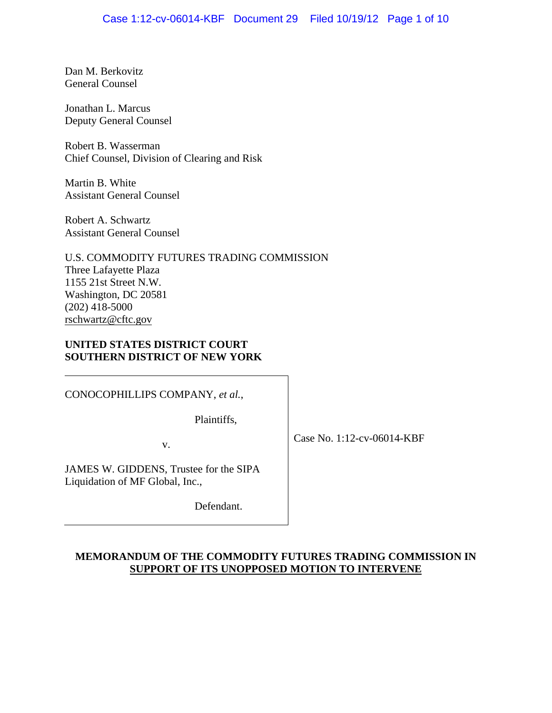Dan M. Berkovitz General Counsel

Jonathan L. Marcus Deputy General Counsel

Robert B. Wasserman Chief Counsel, Division of Clearing and Risk

Martin B. White Assistant General Counsel

Robert A. Schwartz Assistant General Counsel

U.S. COMMODITY FUTURES TRADING COMMISSION Three Lafayette Plaza 1155 21st Street N.W. Washington, DC 20581 (202) 418-5000 rschwartz@cftc.gov

# **UNITED STATES DISTRICT COURT SOUTHERN DISTRICT OF NEW YORK**

CONOCOPHILLIPS COMPANY, *et al.*,

Plaintiffs,

v.

Case No. 1:12-cv-06014-KBF

JAMES W. GIDDENS, Trustee for the SIPA Liquidation of MF Global, Inc.,

Defendant.

# **MEMORANDUM OF THE COMMODITY FUTURES TRADING COMMISSION IN SUPPORT OF ITS UNOPPOSED MOTION TO INTERVENE**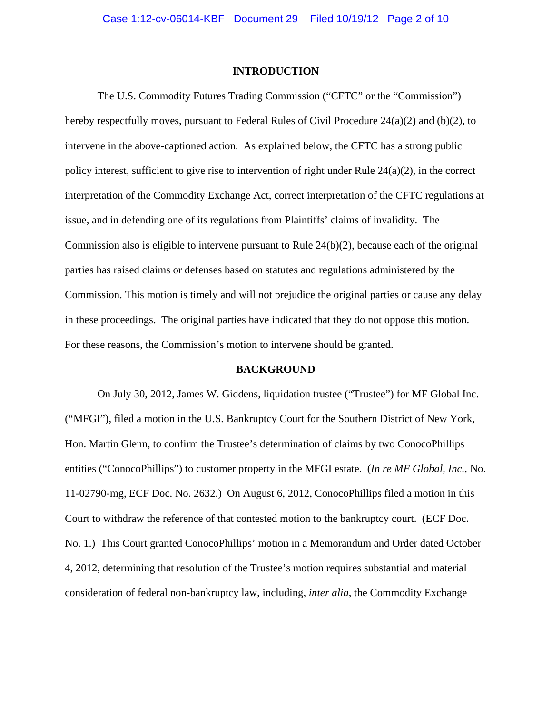#### **INTRODUCTION**

 The U.S. Commodity Futures Trading Commission ("CFTC" or the "Commission") hereby respectfully moves, pursuant to Federal Rules of Civil Procedure 24(a)(2) and (b)(2), to intervene in the above-captioned action. As explained below, the CFTC has a strong public policy interest, sufficient to give rise to intervention of right under Rule  $24(a)(2)$ , in the correct interpretation of the Commodity Exchange Act, correct interpretation of the CFTC regulations at issue, and in defending one of its regulations from Plaintiffs' claims of invalidity. The Commission also is eligible to intervene pursuant to Rule  $24(b)(2)$ , because each of the original parties has raised claims or defenses based on statutes and regulations administered by the Commission. This motion is timely and will not prejudice the original parties or cause any delay in these proceedings. The original parties have indicated that they do not oppose this motion. For these reasons, the Commission's motion to intervene should be granted.

#### **BACKGROUND**

 On July 30, 2012, James W. Giddens, liquidation trustee ("Trustee") for MF Global Inc. ("MFGI"), filed a motion in the U.S. Bankruptcy Court for the Southern District of New York, Hon. Martin Glenn, to confirm the Trustee's determination of claims by two ConocoPhillips entities ("ConocoPhillips") to customer property in the MFGI estate. (*In re MF Global, Inc.*, No. 11-02790-mg, ECF Doc. No. 2632.) On August 6, 2012, ConocoPhillips filed a motion in this Court to withdraw the reference of that contested motion to the bankruptcy court. (ECF Doc. No. 1.) This Court granted ConocoPhillips' motion in a Memorandum and Order dated October 4, 2012, determining that resolution of the Trustee's motion requires substantial and material consideration of federal non-bankruptcy law, including, *inter alia*, the Commodity Exchange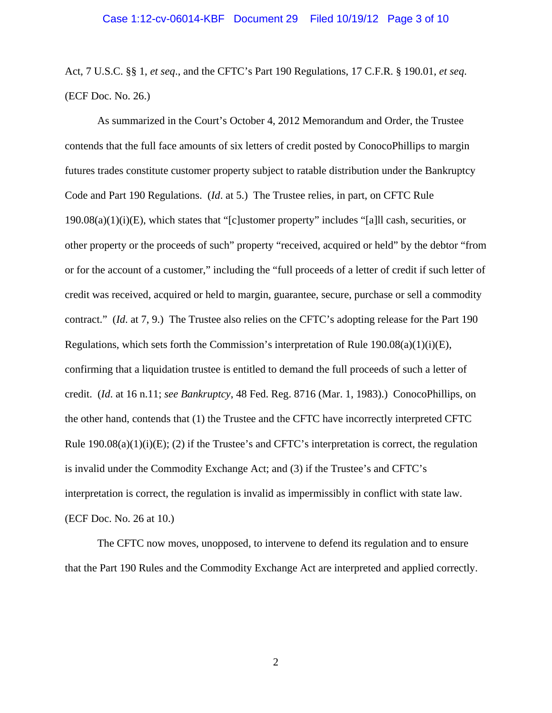Act, 7 U.S.C. §§ 1, *et seq*., and the CFTC's Part 190 Regulations, 17 C.F.R. § 190.01, *et seq*. (ECF Doc. No. 26.)

 As summarized in the Court's October 4, 2012 Memorandum and Order, the Trustee contends that the full face amounts of six letters of credit posted by ConocoPhillips to margin futures trades constitute customer property subject to ratable distribution under the Bankruptcy Code and Part 190 Regulations. (*Id*. at 5.) The Trustee relies, in part, on CFTC Rule  $190.08(a)(1)(i)(E)$ , which states that "[c]ustomer property" includes "[a]ll cash, securities, or other property or the proceeds of such" property "received, acquired or held" by the debtor "from or for the account of a customer," including the "full proceeds of a letter of credit if such letter of credit was received, acquired or held to margin, guarantee, secure, purchase or sell a commodity contract." (*Id*. at 7, 9.) The Trustee also relies on the CFTC's adopting release for the Part 190 Regulations, which sets forth the Commission's interpretation of Rule  $190.08(a)(1)(i)(E)$ , confirming that a liquidation trustee is entitled to demand the full proceeds of such a letter of credit. (*Id*. at 16 n.11; *see Bankruptcy*, 48 Fed. Reg. 8716 (Mar. 1, 1983).) ConocoPhillips, on the other hand, contends that (1) the Trustee and the CFTC have incorrectly interpreted CFTC Rule  $190.08(a)(1)(i)(E)$ ; (2) if the Trustee's and CFTC's interpretation is correct, the regulation is invalid under the Commodity Exchange Act; and (3) if the Trustee's and CFTC's interpretation is correct, the regulation is invalid as impermissibly in conflict with state law. (ECF Doc. No. 26 at 10.)

 The CFTC now moves, unopposed, to intervene to defend its regulation and to ensure that the Part 190 Rules and the Commodity Exchange Act are interpreted and applied correctly.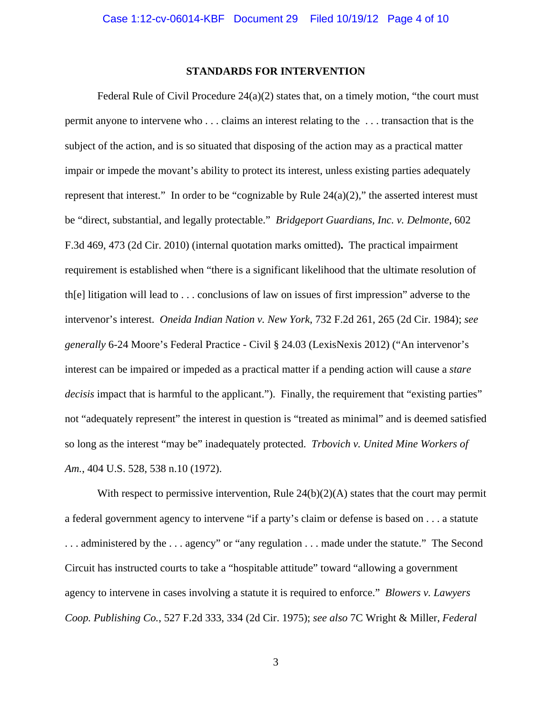## **STANDARDS FOR INTERVENTION**

Federal Rule of Civil Procedure  $24(a)(2)$  states that, on a timely motion, "the court must" permit anyone to intervene who . . . claims an interest relating to the . . . transaction that is the subject of the action, and is so situated that disposing of the action may as a practical matter impair or impede the movant's ability to protect its interest, unless existing parties adequately represent that interest." In order to be "cognizable by Rule  $24(a)(2)$ ," the asserted interest must be "direct, substantial, and legally protectable." *Bridgeport Guardians, Inc. v. Delmonte*, 602 F.3d 469, 473 (2d Cir. 2010) (internal quotation marks omitted)**.** The practical impairment requirement is established when "there is a significant likelihood that the ultimate resolution of th[e] litigation will lead to . . . conclusions of law on issues of first impression" adverse to the intervenor's interest. *Oneida Indian Nation v. New York*, 732 F.2d 261, 265 (2d Cir. 1984); *see generally* 6-24 Moore's Federal Practice - Civil § 24.03 (LexisNexis 2012) ("An intervenor's interest can be impaired or impeded as a practical matter if a pending action will cause a *stare decisis* impact that is harmful to the applicant."). Finally, the requirement that "existing parties" not "adequately represent" the interest in question is "treated as minimal" and is deemed satisfied so long as the interest "may be" inadequately protected. *Trbovich v. United Mine Workers of Am.*, 404 U.S. 528, 538 n.10 (1972).

With respect to permissive intervention, Rule  $24(b)(2)(A)$  states that the court may permit a federal government agency to intervene "if a party's claim or defense is based on . . . a statute . . . administered by the . . . agency" or "any regulation . . . made under the statute." The Second Circuit has instructed courts to take a "hospitable attitude" toward "allowing a government agency to intervene in cases involving a statute it is required to enforce." *Blowers v. Lawyers Coop. Publishing Co.*, 527 F.2d 333, 334 (2d Cir. 1975); *see also* 7C Wright & Miller, *Federal*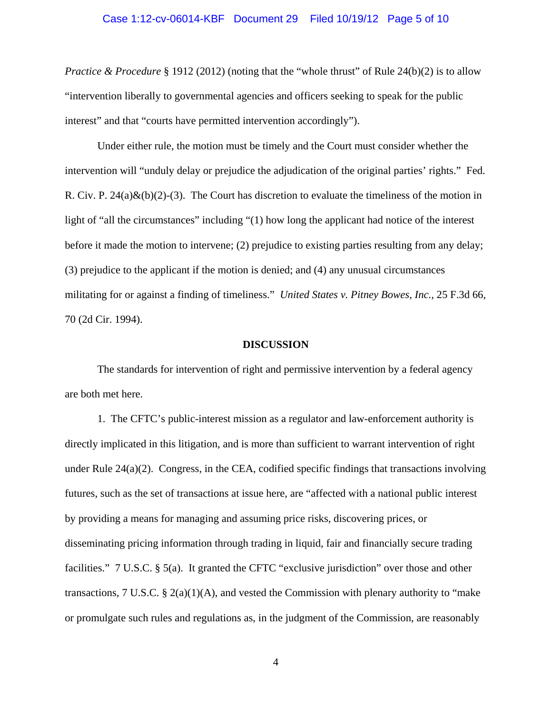## Case 1:12-cv-06014-KBF Document 29 Filed 10/19/12 Page 5 of 10

*Practice & Procedure* § 1912 (2012) (noting that the "whole thrust" of Rule 24(b)(2) is to allow "intervention liberally to governmental agencies and officers seeking to speak for the public interest" and that "courts have permitted intervention accordingly").

 Under either rule, the motion must be timely and the Court must consider whether the intervention will "unduly delay or prejudice the adjudication of the original parties' rights." Fed. R. Civ. P.  $24(a) \& (b)(2)$ -(3). The Court has discretion to evaluate the timeliness of the motion in light of "all the circumstances" including "(1) how long the applicant had notice of the interest before it made the motion to intervene; (2) prejudice to existing parties resulting from any delay; (3) prejudice to the applicant if the motion is denied; and (4) any unusual circumstances militating for or against a finding of timeliness." *United States v. Pitney Bowes, Inc.*, 25 F.3d 66, 70 (2d Cir. 1994).

#### **DISCUSSION**

The standards for intervention of right and permissive intervention by a federal agency are both met here.

1. The CFTC's public-interest mission as a regulator and law-enforcement authority is directly implicated in this litigation, and is more than sufficient to warrant intervention of right under Rule 24(a)(2). Congress, in the CEA, codified specific findings that transactions involving futures, such as the set of transactions at issue here, are "affected with a national public interest by providing a means for managing and assuming price risks, discovering prices, or disseminating pricing information through trading in liquid, fair and financially secure trading facilities." 7 U.S.C. § 5(a). It granted the CFTC "exclusive jurisdiction" over those and other transactions, 7 U.S.C.  $\S 2(a)(1)(A)$ , and vested the Commission with plenary authority to "make" or promulgate such rules and regulations as, in the judgment of the Commission, are reasonably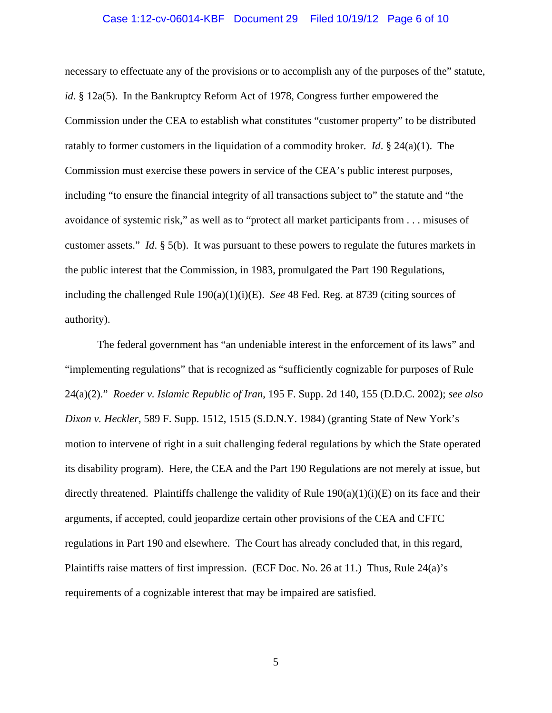## Case 1:12-cv-06014-KBF Document 29 Filed 10/19/12 Page 6 of 10

necessary to effectuate any of the provisions or to accomplish any of the purposes of the" statute, *id*. § 12a(5). In the Bankruptcy Reform Act of 1978, Congress further empowered the Commission under the CEA to establish what constitutes "customer property" to be distributed ratably to former customers in the liquidation of a commodity broker. *Id*. § 24(a)(1). The Commission must exercise these powers in service of the CEA's public interest purposes, including "to ensure the financial integrity of all transactions subject to" the statute and "the avoidance of systemic risk," as well as to "protect all market participants from . . . misuses of customer assets." *Id*. § 5(b). It was pursuant to these powers to regulate the futures markets in the public interest that the Commission, in 1983, promulgated the Part 190 Regulations, including the challenged Rule 190(a)(1)(i)(E). *See* 48 Fed. Reg. at 8739 (citing sources of authority).

The federal government has "an undeniable interest in the enforcement of its laws" and "implementing regulations" that is recognized as "sufficiently cognizable for purposes of Rule 24(a)(2)." *Roeder v. Islamic Republic of Iran*, 195 F. Supp. 2d 140, 155 (D.D.C. 2002); *see also Dixon v. Heckler,* 589 F. Supp. 1512, 1515 (S.D.N.Y. 1984) (granting State of New York's motion to intervene of right in a suit challenging federal regulations by which the State operated its disability program). Here, the CEA and the Part 190 Regulations are not merely at issue, but directly threatened. Plaintiffs challenge the validity of Rule  $190(a)(1)(i)(E)$  on its face and their arguments, if accepted, could jeopardize certain other provisions of the CEA and CFTC regulations in Part 190 and elsewhere. The Court has already concluded that, in this regard, Plaintiffs raise matters of first impression. (ECF Doc. No. 26 at 11.) Thus, Rule 24(a)'s requirements of a cognizable interest that may be impaired are satisfied.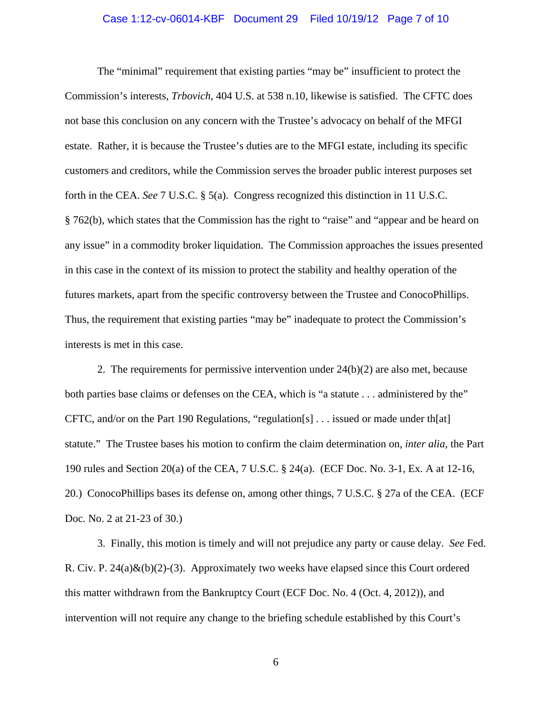## Case 1:12-cv-06014-KBF Document 29 Filed 10/19/12 Page 7 of 10

The "minimal" requirement that existing parties "may be" insufficient to protect the Commission's interests, *Trbovich*, 404 U.S. at 538 n.10, likewise is satisfied. The CFTC does not base this conclusion on any concern with the Trustee's advocacy on behalf of the MFGI estate. Rather, it is because the Trustee's duties are to the MFGI estate, including its specific customers and creditors, while the Commission serves the broader public interest purposes set forth in the CEA. *See* 7 U.S.C. § 5(a). Congress recognized this distinction in 11 U.S.C. § 762(b), which states that the Commission has the right to "raise" and "appear and be heard on any issue" in a commodity broker liquidation. The Commission approaches the issues presented in this case in the context of its mission to protect the stability and healthy operation of the futures markets, apart from the specific controversy between the Trustee and ConocoPhillips. Thus, the requirement that existing parties "may be" inadequate to protect the Commission's interests is met in this case.

2. The requirements for permissive intervention under 24(b)(2) are also met, because both parties base claims or defenses on the CEA, which is "a statute . . . administered by the" CFTC, and/or on the Part 190 Regulations, "regulation[s] . . . issued or made under th[at] statute." The Trustee bases his motion to confirm the claim determination on, *inter alia*, the Part 190 rules and Section 20(a) of the CEA, 7 U.S.C. § 24(a). (ECF Doc. No. 3-1, Ex. A at 12-16, 20.) ConocoPhillips bases its defense on, among other things, 7 U.S.C. § 27a of the CEA. (ECF Doc. No. 2 at 21-23 of 30.)

3. Finally, this motion is timely and will not prejudice any party or cause delay. *See* Fed. R. Civ. P.  $24(a)\&(b)(2)-(3)$ . Approximately two weeks have elapsed since this Court ordered this matter withdrawn from the Bankruptcy Court (ECF Doc. No. 4 (Oct. 4, 2012)), and intervention will not require any change to the briefing schedule established by this Court's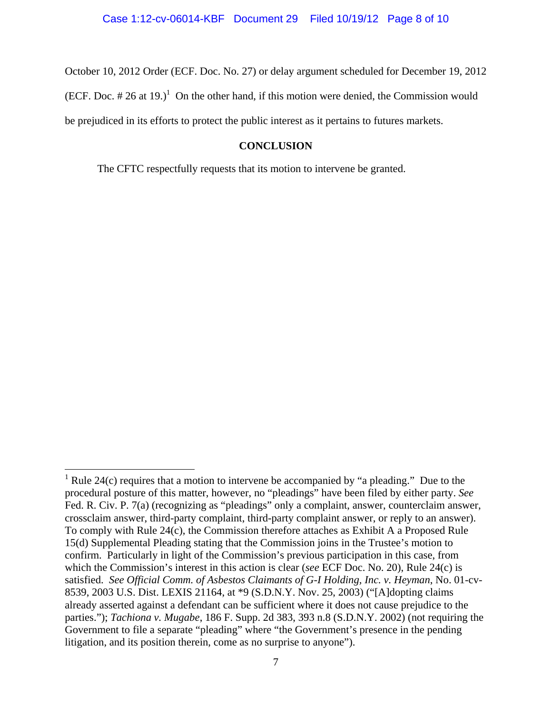October 10, 2012 Order (ECF. Doc. No. 27) or delay argument scheduled for December 19, 2012 (ECF. Doc.  $\# 26$  at 19.)<sup>1</sup> On the other hand, if this motion were denied, the Commission would be prejudiced in its efforts to protect the public interest as it pertains to futures markets.

# **CONCLUSION**

The CFTC respectfully requests that its motion to intervene be granted.

 $\overline{a}$ 

<sup>&</sup>lt;sup>1</sup> Rule 24(c) requires that a motion to intervene be accompanied by "a pleading." Due to the procedural posture of this matter, however, no "pleadings" have been filed by either party. *See*  Fed. R. Civ. P. 7(a) (recognizing as "pleadings" only a complaint, answer, counterclaim answer, crossclaim answer, third-party complaint, third-party complaint answer, or reply to an answer). To comply with Rule 24(c), the Commission therefore attaches as Exhibit A a Proposed Rule 15(d) Supplemental Pleading stating that the Commission joins in the Trustee's motion to confirm. Particularly in light of the Commission's previous participation in this case, from which the Commission's interest in this action is clear (*see* ECF Doc. No. 20), Rule 24(c) is satisfied. *See Official Comm. of Asbestos Claimants of G-I Holding, Inc. v. Heyman*, No. 01-cv-8539, 2003 U.S. Dist. LEXIS 21164, at \*9 (S.D.N.Y. Nov. 25, 2003) ("[A]dopting claims already asserted against a defendant can be sufficient where it does not cause prejudice to the parties."); *Tachiona v. Mugabe*, 186 F. Supp. 2d 383, 393 n.8 (S.D.N.Y. 2002) (not requiring the Government to file a separate "pleading" where "the Government's presence in the pending litigation, and its position therein, come as no surprise to anyone").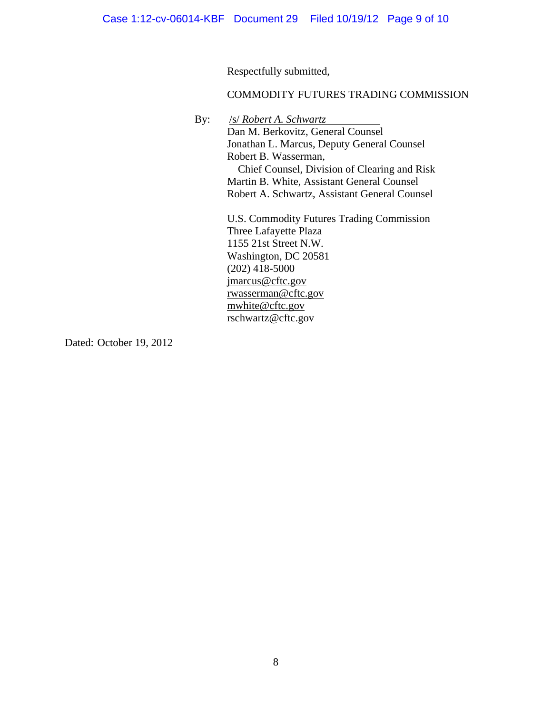Respectfully submitted,

# COMMODITY FUTURES TRADING COMMISSION

By: /s/ *Robert A. Schwartz*

Dan M. Berkovitz, General Counsel Jonathan L. Marcus, Deputy General Counsel Robert B. Wasserman, Chief Counsel, Division of Clearing and Risk Martin B. White, Assistant General Counsel Robert A. Schwartz, Assistant General Counsel

U.S. Commodity Futures Trading Commission Three Lafayette Plaza 1155 21st Street N.W. Washington, DC 20581  $(202)$  418-5000 jmarcus@cftc.gov rwasserman@cftc.gov mwhite@cftc.gov rschwartz@cftc.gov

Dated: October 19, 2012